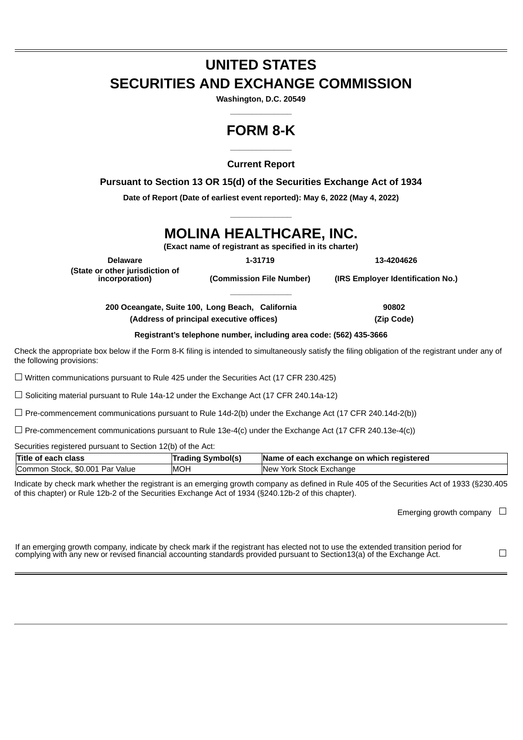# **UNITED STATES SECURITIES AND EXCHANGE COMMISSION**

**Washington, D.C. 20549 \_\_\_\_\_\_\_\_\_\_\_\_\_\_**

### **FORM 8-K \_\_\_\_\_\_\_\_\_\_\_\_\_\_**

**Current Report**

**Pursuant to Section 13 OR 15(d) of the Securities Exchange Act of 1934**

**Date of Report (Date of earliest event reported): May 6, 2022 (May 4, 2022) \_\_\_\_\_\_\_\_\_\_\_\_\_\_**

## **MOLINA HEALTHCARE, INC.**

**(Exact name of registrant as specified in its charter)**

**\_\_\_\_\_\_\_\_\_\_\_\_\_\_**

**Delaware 1-31719 13-4204626 (State or other jurisdiction of**

**incorporation) (Commission File Number) (IRS Employer Identification No.)**

**200 Oceangate, Suite 100, Long Beach, California 90802 (Address of principal executive offices) (Zip Code)**

**Registrant's telephone number, including area code: (562) 435-3666**

Check the appropriate box below if the Form 8-K filing is intended to simultaneously satisfy the filing obligation of the registrant under any of the following provisions:

 $\Box$  Written communications pursuant to Rule 425 under the Securities Act (17 CFR 230.425)

 $\Box$  Soliciting material pursuant to Rule 14a-12 under the Exchange Act (17 CFR 240.14a-12)

☐ Pre-commencement communications pursuant to Rule 14d-2(b) under the Exchange Act (17 CFR 240.14d-2(b))

 $\Box$  Pre-commencement communications pursuant to Rule 13e-4(c) under the Exchange Act (17 CFR 240.13e-4(c))

Securities registered pursuant to Section 12(b) of the Act:

| <b>Title of each class</b>      | Trading Svmbol(s) | Name of each exchange on which registered |
|---------------------------------|-------------------|-------------------------------------------|
| Common Stock, \$0.001 Par Value | <b>IMOH</b>       | <b>New</b><br>York Stock Exchange         |

Indicate by check mark whether the registrant is an emerging growth company as defined in Rule 405 of the Securities Act of 1933 (§230.405 of this chapter) or Rule 12b-2 of the Securities Exchange Act of 1934 (§240.12b-2 of this chapter).

Emerging growth company  $\Box$ 

| If an emerging growth company, indicate by check mark if the registrant has elected not to use the extended transition period for |  |
|-----------------------------------------------------------------------------------------------------------------------------------|--|
| complying with any new or revised financial accounting standards provided pursuant to Section13(a) of the Exchange Act.           |  |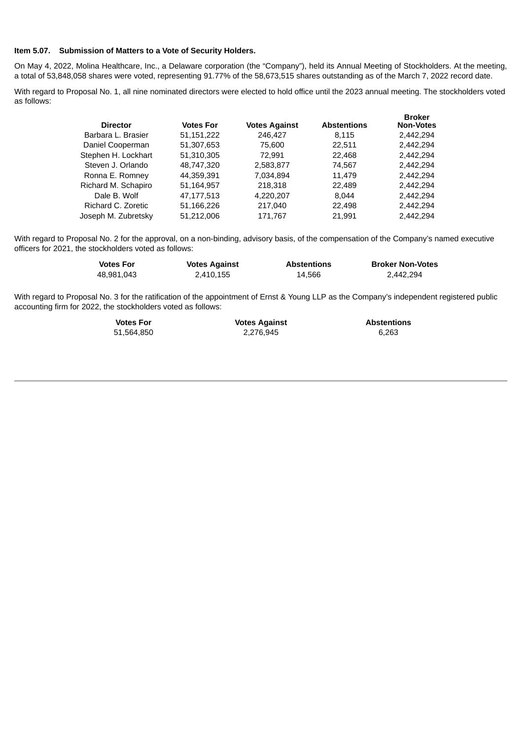#### **Item 5.07. Submission of Matters to a Vote of Security Holders.**

On May 4, 2022, Molina Healthcare, Inc., a Delaware corporation (the "Company"), held its Annual Meeting of Stockholders. At the meeting, a total of 53,848,058 shares were voted, representing 91.77% of the 58,673,515 shares outstanding as of the March 7, 2022 record date.

With regard to Proposal No. 1, all nine nominated directors were elected to hold office until the 2023 annual meeting. The stockholders voted as follows:

| <b>Director</b>     | <b>Votes For</b> | <b>Votes Against</b> | <b>Abstentions</b> | <b>Broker</b><br><b>Non-Votes</b> |
|---------------------|------------------|----------------------|--------------------|-----------------------------------|
| Barbara L. Brasier  | 51,151,222       | 246,427              | 8.115              | 2,442,294                         |
| Daniel Cooperman    | 51,307,653       | 75,600               | 22,511             | 2,442,294                         |
| Stephen H. Lockhart | 51,310,305       | 72.991               | 22,468             | 2,442,294                         |
| Steven J. Orlando   | 48,747,320       | 2,583,877            | 74,567             | 2,442,294                         |
| Ronna E. Romney     | 44,359,391       | 7,034,894            | 11.479             | 2,442,294                         |
| Richard M. Schapiro | 51,164,957       | 218,318              | 22,489             | 2,442,294                         |
| Dale B. Wolf        | 47,177,513       | 4,220,207            | 8.044              | 2,442,294                         |
| Richard C. Zoretic  | 51,166,226       | 217,040              | 22.498             | 2,442,294                         |
| Joseph M. Zubretsky | 51.212.006       | 171.767              | 21.991             | 2.442.294                         |

With regard to Proposal No. 2 for the approval, on a non-binding, advisory basis, of the compensation of the Company's named executive officers for 2021, the stockholders voted as follows:

| <b>Votes For</b> | <b>Votes Against</b> | <b>Abstentions</b> | <b>Broker Non-Votes</b> |
|------------------|----------------------|--------------------|-------------------------|
| 48,981,043       | 2,410,155            | 14,566             | 2,442,294               |

With regard to Proposal No. 3 for the ratification of the appointment of Ernst & Young LLP as the Company's independent registered public accounting firm for 2022, the stockholders voted as follows:

| <b>Votes For</b> | <b>Votes Against</b> | <b>Abstentions</b> |
|------------------|----------------------|--------------------|
| 51.564.850       | 2.276.945            | 6.263              |